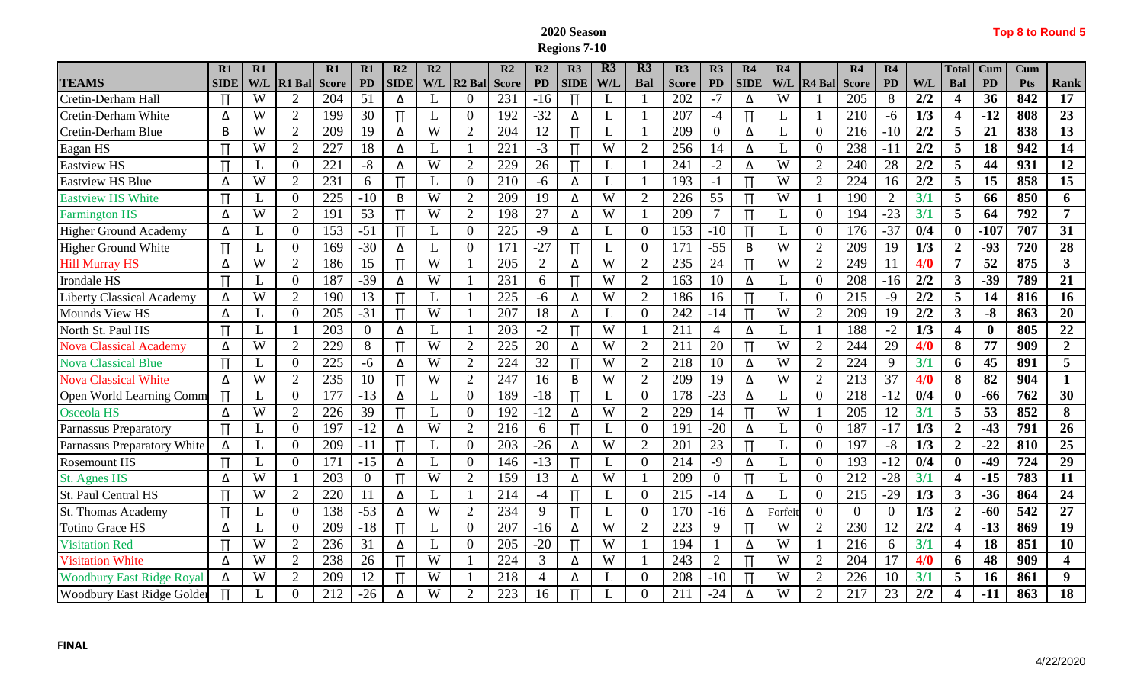## **2020 Season Regions 7-10**

|  | Top 8 to Round 5 |  |  |
|--|------------------|--|--|
|--|------------------|--|--|

|                                   | R1          | $R1$ |                | R1           | R1             | R <sub>2</sub> | R2             |                    | $\overline{\mathbf{R}}$ | R2             | R3            | R3  | R3             | R3           | R3             | R <sub>4</sub> | R4           |                    | R4           | R4             |                  | <b>Total</b>            | <b>Cum</b> | Cum        |                         |
|-----------------------------------|-------------|------|----------------|--------------|----------------|----------------|----------------|--------------------|-------------------------|----------------|---------------|-----|----------------|--------------|----------------|----------------|--------------|--------------------|--------------|----------------|------------------|-------------------------|------------|------------|-------------------------|
| <b>TEAMS</b>                      | <b>SIDE</b> | W/I  | <b>R1 Ball</b> | <b>Score</b> | <b>PD</b>      | <b>SIDE</b>    | W/L            | R <sub>2</sub> Bal | <b>Score</b>            | <b>PD</b>      | <b>SIDE</b>   | W/L | Bal            | <b>Score</b> | PD             | <b>SIDE</b>    | W/L          | R <sub>4</sub> Bal | <b>Score</b> | <b>PD</b>      | W/L              | Bal                     | <b>PD</b>  | <b>Pts</b> | Rank                    |
| Cretin-Derham Hall                |             | W    | $\overline{2}$ | 204          | 51             | Δ              | L              |                    | 231                     | $-16$          | П             |     |                | 202          | $-7$           | Δ              | W            |                    | 205          | 8              | 2/2              | $\overline{\mathbf{4}}$ | 36         | 842        | 17                      |
| Cretin-Derham White               | Δ           | W    | 2              | 199          | 30             | Π              | L              | $\theta$           | 192                     | $-32$          | Δ             |     |                | 207          | $-4$           | $\Pi$          | L            |                    | 210          | $-6$           | 1/3              | $\overline{\mathbf{4}}$ | $-12$      | 808        | 23                      |
| Cretin-Derham Blue                | B           | W    | $\overline{2}$ | 209          | 19             | Δ              | W              | $\overline{2}$     | 204                     | 12             | $\Pi$         |     |                | 209          | $\theta$       | Δ              | L            | $\Omega$           | 216          | $-10$          | 2/2              | 5                       | 21         | 838        | 13                      |
| Eagan HS                          |             | W    | $\overline{2}$ | 227          | 18             | Δ              | L              |                    | 221                     | $-3$           | $\mathbf \pi$ | W   | $\overline{2}$ | 256          | 14             | Δ              | $\mathbf{L}$ | $\boldsymbol{0}$   | 238          | $-11$          | 2/2              | 5                       | 18         | 942        | $\overline{14}$         |
| Eastview HS                       |             | L    | $\overline{0}$ | 221          | $-8$           | Δ              | W              | $\overline{2}$     | 229                     | 26             | $\Pi$         |     |                | 241          | $-2$           | Δ              | W            | $\overline{2}$     | 240          | 28             | 2/2              | 5                       | 44         | 931        | $\overline{12}$         |
| <b>Eastview HS Blue</b>           | Δ           | W    | $\overline{2}$ | 231          | 6              | $\Pi$          | L              | $\Omega$           | 210                     | $-6$           | Δ             |     |                | 193          | $-1$           | $\Pi$          | W            | $\overline{2}$     | 224          | 16             | $\overline{2/2}$ | 5                       | 15         | 858        | $\overline{15}$         |
| <b>Eastview HS White</b>          |             | L    | $\overline{0}$ | 225          | $-10$          | B              | W              | $\overline{2}$     | 209                     | 19             | Δ             | W   | $\overline{2}$ | 226          | 55             |                | W            |                    | 190          | $\overline{2}$ | 3/1              | 5                       | 66         | 850        | 6                       |
| <b>Farmington HS</b>              | Δ           | W    | $\overline{2}$ | 191          | 53             |                | W              | $\overline{2}$     | 198                     | 27             | Δ             | W   |                | 209          |                |                | L            | $\Omega$           | 194          | $-23$          | 3/1              | 5                       | 64         | 792        | 7                       |
| <b>Higher Ground Academy</b>      | Δ           |      | $\overline{0}$ | 153          | $-51$          | Π              | L              | $\Omega$           | 225                     | $-9$           | Δ             |     | $\overline{0}$ | 153          | $-10$          | $\Pi$          | L            | $\Omega$           | 176          | $-37$          | 0/4              | $\mathbf{0}$            | $-107$     | 707        | 31                      |
| <b>Higher Ground White</b>        | $\Pi$       | L    | $\overline{0}$ | 169          | $-30$          | Δ              | L              | $\Omega$           | 171                     | $-27$          | $\Pi$         |     | $\overline{0}$ | 171          | $-55$          | B              | W            | $\overline{2}$     | 209          | 19             | 1/3              | $\overline{2}$          | $-93$      | 720        | 28                      |
| <b>Hill Murray HS</b>             | Δ           | W    | $\overline{2}$ | 186          | 15             |                | $\overline{W}$ |                    | 205                     | $\overline{2}$ | Δ             | W   | $\overline{2}$ | 235          | 24             |                | W            | $\overline{2}$     | 249          | 11             | 4/0              | $\overline{7}$          | 52         | 875        | $\overline{\mathbf{3}}$ |
| <b>Irondale HS</b>                | Π           | L    | $\overline{0}$ | 187          | $-39$          | Δ              | W              |                    | 231                     | 6              | $\Pi$         | W   | $\overline{2}$ | 163          | 10             | Δ              | L            | $\overline{0}$     | 208          | $-16$          | $\overline{2/2}$ | $3^{\circ}$             | $-39$      | 789        | $\overline{21}$         |
| <b>Liberty Classical Academy</b>  | Δ           | W    | $\overline{2}$ | 190          | 13             | $\Pi$          |                |                    | 225                     | $-6$           | Δ             | W   | $\overline{2}$ | 186          | 16             | $\mathbf{T}$   | L            | $\overline{0}$     | 215          | $-9$           | 2/2              | 5                       | 14         | 816        | 16                      |
| <b>Mounds View HS</b>             | Δ           | L    | $\theta$       | 205          | $-31$          | $\Pi$          | W              |                    | 207                     | 18             | Δ             |     | $\overline{0}$ | 242          | $-14$          |                | W            | $\overline{2}$     | 209          | 19             | 2/2              | 3 <sup>1</sup>          | $-8$       | 863        | 20                      |
| North St. Paul HS                 |             |      |                | 203          | $\overline{0}$ | Δ              | L              |                    | 203                     | $-2$           | $\Pi$         | W   |                | 211          | $\overline{4}$ | Δ              | L            |                    | 188          | $-2$           | 1/3              | $\overline{\mathbf{4}}$ | $\bf{0}$   | 805        | 22                      |
| <b>Nova Classical Academy</b>     | Δ           | W    | $\overline{2}$ | 229          | 8              | Π              | W              | ി                  | 225                     | 20             | Δ             | W   | $\overline{2}$ | 211          | 20             | $\Pi$          | W            | $\overline{2}$     | 244          | 29             | 4/0              | 8                       | 77         | 909        | $\overline{2}$          |
| <b>Nova Classical Blue</b>        | $\Pi$       | L    | $\Omega$       | 225          | $-6$           | Δ              | W              | $\overline{2}$     | 224                     | 32             | $\Pi$         | W   | $\overline{2}$ | 218          | 10             | Δ              | W            | $\overline{2}$     | 224          | 9              | 3/1              | 6                       | 45         | 891        | 5                       |
| <b>Nova Classical White</b>       | Δ           | W    | $\overline{2}$ | 235          | 10             |                | W              | $\overline{2}$     | 247                     | 16             | B             | W   | $\overline{2}$ | 209          | 19             | Δ              | W            | $\overline{2}$     | 213          | 37             | 4/0              | 8                       | 82         | 904        |                         |
| Open World Learning Comm          |             | L    | $\theta$       | 177          | $-13$          | Δ              | L              | 0                  | 189                     | $-18$          | Π             |     | $\overline{0}$ | 178          | $-23$          | Δ              | L            | $\Omega$           | 218          | $-12$          | 0/4              | $\mathbf{0}$            | -66        | 762        | $\overline{30}$         |
| Osceola HS                        | Δ           | W    | $\overline{2}$ | 226          | 39             | $\Pi$          |                |                    | 192                     | $-12$          | Δ             | W   | $\overline{2}$ | 229          | 14             | $\Pi$          | W            |                    | 205          | 12             | 3/1              | 5                       | 53         | 852        | 8                       |
| <b>Parnassus Preparatory</b>      | $\Pi$       | L    | $\overline{0}$ | 197          | $-12$          | Δ              | W              | $\overline{2}$     | 216                     | 6              | Π             |     | $\overline{0}$ | 191          | $-20$          | Δ              | L            | $\overline{0}$     | 187          | $-17$          | 1/3              | $\overline{2}$          | $-43$      | 791        | 26                      |
| Parnassus Preparatory White       | Δ           | L    | $\overline{0}$ | 209          | $-11$          |                | L              | $\Omega$           | 203                     | $-26$          | Δ             | W   | $\overline{2}$ | 201          | 23             |                | L            | $\overline{0}$     | 197          | $-8$           | 1/3              | $\boldsymbol{2}$        | $-22$      | 810        | 25                      |
| <b>Rosemount HS</b>               | $\Pi$       |      | $\overline{0}$ | 171          | $-15$          | Δ              | L              | $\Omega$           | 146                     | $-13$          | $\Pi$         |     | $\overline{0}$ | 214          | $-9$           | Δ              | L            | $\overline{0}$     | 193          | $-12$          | 0/4              | $\mathbf{0}$            | $-49$      | 724        | 29                      |
| <b>St. Agnes HS</b>               | Δ           | W    |                | 203          | $\overline{0}$ | Π              | W              | $\overline{2}$     | 159                     | 13             | Δ             | W   |                | 209          | $\overline{0}$ |                | L            | $\Omega$           | 212          | $-28$          | 3/1              | $\overline{\mathbf{4}}$ | $-15$      | 783        | 11                      |
| <b>St. Paul Central HS</b>        |             | W    | $\overline{2}$ | 220          | 11             | Δ              | L              |                    | 214                     | -4             |               |     | $\overline{0}$ | 215          | $-14$          | Δ              | L            | $\overline{0}$     | 215          | $-29$          | 1/3              | 3 <sup>1</sup>          | $-36$      | 864        | 24                      |
| <b>St. Thomas Academy</b>         | $\Pi$       | L    | $\theta$       | 138          | $-53$          | Δ              | W              | $\overline{2}$     | 234                     | 9              | $\Pi$         |     | $\overline{0}$ | 170          | $-16$          | Δ              | Forfei       | $\Omega$           | $\Omega$     | $\overline{0}$ | 1/3              | $\overline{2}$          | $-60$      | 542        | $\overline{27}$         |
| Totino Grace HS                   | Δ           | L    | $\Omega$       | 209          | $-18$          | $\Pi$          | L              |                    | 207                     | $-16$          | Δ             | W   | $\overline{2}$ | 223          | 9              |                | W            | $\overline{2}$     | 230          | 12             | 2/2              | $\overline{\mathbf{4}}$ | $-13$      | 869        | 19                      |
| <b>Visitation Red</b>             |             | W    | $\overline{2}$ | 236          | 31             | Δ              | L              |                    | 205                     | $-20$          | Π             | W   |                | 194          |                | Δ              | W            |                    | 216          | 6              | 3/1              | $\overline{\mathbf{4}}$ | 18         | 851        | 10                      |
| <b>Visitation White</b>           | Δ           | W    | $\overline{2}$ | 238          | 26             |                | W              |                    | 224                     | $\mathfrak{Z}$ | Δ             | W   |                | 243          | $\overline{2}$ |                | W            | $\overline{2}$     | 204          | 17             | 4/0              | 6                       | 48         | 909        | $\overline{\mathbf{4}}$ |
| <b>Woodbury East Ridge Royal</b>  | Δ           | W    | $\overline{2}$ | 209          | 12             | Π              | W              |                    | 218                     | 4              | Δ             |     | $\overline{0}$ | 208          | $-10$          | $\mathbf \pi$  | W            | $\overline{2}$     | 226          | 10             | 3/1              | 5                       | <b>16</b>  | 861        | 9                       |
| <b>Woodbury East Ridge Golder</b> |             |      | $\Omega$       | 212          | $-26$          | Λ              | W              | $\mathcal{D}$      | 223                     | 16             | $\mathbf{T}$  |     | $\theta$       | 211          | $-24$          | Δ              | W            | $\overline{2}$     | 217          | 23             | 2/2              | 4                       | $-11$      | 863        | 18                      |